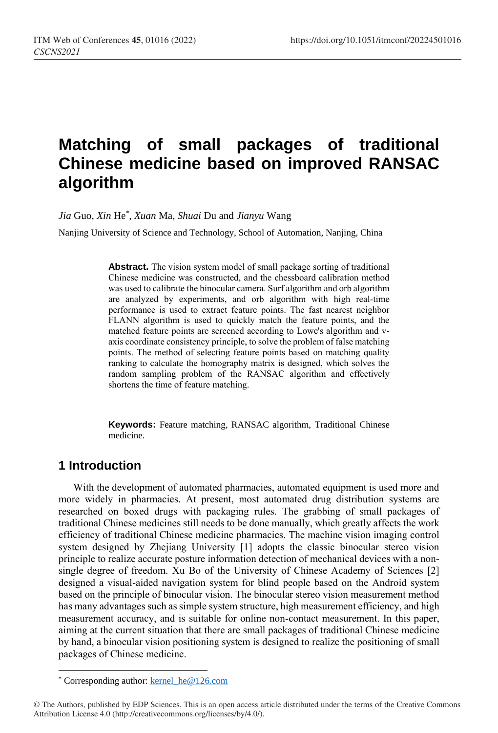# **Matching of small packages of traditional Chinese medicine based on improved RANSAC algorithm**

*Jia* Guo*, Xin* He*\* , Xuan* Ma*, Shuai* Du and *Jianyu* Wang

Nanjing University of Science and Technology, School of Automation, Nanjing, China

**Abstract.** The vision system model of small package sorting of traditional Chinese medicine was constructed, and the chessboard calibration method was used to calibrate the binocular camera. Surf algorithm and orb algorithm are analyzed by experiments, and orb algorithm with high real-time performance is used to extract feature points. The fast nearest neighbor FLANN algorithm is used to quickly match the feature points, and the matched feature points are screened according to Lowe's algorithm and vaxis coordinate consistency principle, to solve the problem of false matching points. The method of selecting feature points based on matching quality ranking to calculate the homography matrix is designed, which solves the random sampling problem of the RANSAC algorithm and effectively shortens the time of feature matching.

**Keywords:** Feature matching, RANSAC algorithm, Traditional Chinese medicine.

## **1 Introduction**

 $\overline{a}$ 

With the development of automated pharmacies, automated equipment is used more and more widely in pharmacies. At present, most automated drug distribution systems are researched on boxed drugs with packaging rules. The grabbing of small packages of traditional Chinese medicines still needs to be done manually, which greatly affects the work efficiency of traditional Chinese medicine pharmacies. The machine vision imaging control system designed by Zhejiang University [1] adopts the classic binocular stereo vision principle to realize accurate posture information detection of mechanical devices with a nonsingle degree of freedom. Xu Bo of the University of Chinese Academy of Sciences [2] designed a visual-aided navigation system for blind people based on the Android system based on the principle of binocular vision. The binocular stereo vision measurement method has many advantages such as simple system structure, high measurement efficiency, and high measurement accuracy, and is suitable for online non-contact measurement. In this paper, aiming at the current situation that there are small packages of traditional Chinese medicine by hand, a binocular vision positioning system is designed to realize the positioning of small packages of Chinese medicine.

<sup>\*</sup> Corresponding author[: kernel\\_he@126.com](mailto:kernel_he@126.com)

<sup>©</sup> The Authors, published by EDP Sciences. This is an open access article distributed under the terms of the Creative Commons Attribution License 4.0 (http://creativecommons.org/licenses/by/4.0/).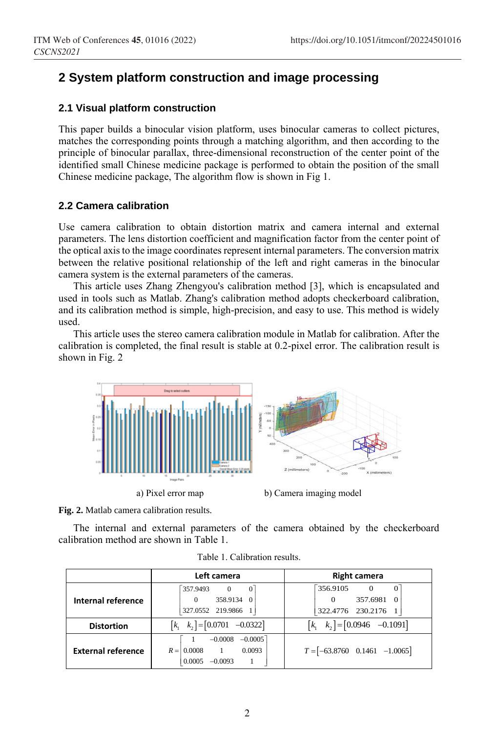## **2 System platform construction and image processing**

#### **2.1 Visual platform construction**

This paper builds a binocular vision platform, uses binocular cameras to collect pictures, matches the corresponding points through a matching algorithm, and then according to the principle of binocular parallax, three-dimensional reconstruction of the center point of the identified small Chinese medicine package is performed to obtain the position of the small Chinese medicine package, The algorithm flow is shown in Fig 1.

#### **2.2 Camera calibration**

Use camera calibration to obtain distortion matrix and camera internal and external parameters. The lens distortion coefficient and magnification factor from the center point of the optical axis to the image coordinates represent internal parameters. The conversion matrix between the relative positional relationship of the left and right cameras in the binocular camera system is the external parameters of the cameras.

This article uses Zhang Zhengyou's calibration method [3], which is encapsulated and used in tools such as Matlab. Zhang's calibration method adopts checkerboard calibration, and its calibration method is simple, high-precision, and easy to use. This method is widely used.

This article uses the stereo camera calibration module in Matlab for calibration. After the calibration is completed, the final result is stable at 0.2-pixel error. The calibration result is shown in Fig. 2



**Fig. 2.** Matlab camera calibration results.

The internal and external parameters of the camera obtained by the checkerboard calibration method are shown in Table 1.

|                           | Left camera                                                                                | <b>Right camera</b>                                                                        |  |
|---------------------------|--------------------------------------------------------------------------------------------|--------------------------------------------------------------------------------------------|--|
| Internal reference        | 357,9493<br>$\Omega$<br>358.9134<br>$\Omega$<br>327.0552 219.9866                          | 356.9105<br>$\Omega$<br>$\Omega$<br>357.6981<br>$\Omega$<br>$\Omega$<br>322.4776 230.2176  |  |
| <b>Distortion</b>         | $\begin{bmatrix} k_1 & k_2 \end{bmatrix} = \begin{bmatrix} 0.0701 & -0.0322 \end{bmatrix}$ | $\begin{bmatrix} k_1 & k_2 \end{bmatrix} = \begin{bmatrix} 0.0946 & -0.1091 \end{bmatrix}$ |  |
| <b>External reference</b> | $-0.0005$<br>$-0.0008$<br>0.0008<br>0.0093<br>$R =$<br>0.0005<br>$-0.0093$                 | $T = [-63.8760 \quad 0.1461 \quad -1.0065]$                                                |  |

|  | Table 1. Calibration results. |  |
|--|-------------------------------|--|
|--|-------------------------------|--|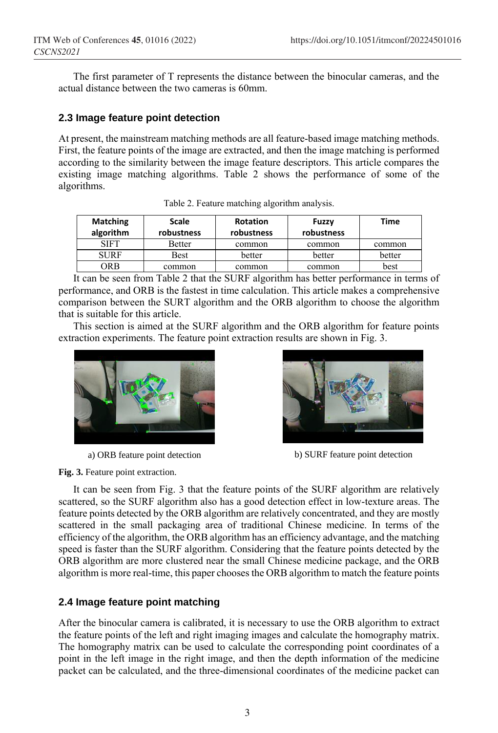The first parameter of T represents the distance between the binocular cameras, and the actual distance between the two cameras is 60mm.

#### **2.3 Image feature point detection**

At present, the mainstream matching methods are all feature-based image matching methods. First, the feature points of the image are extracted, and then the image matching is performed according to the similarity between the image feature descriptors. This article compares the existing image matching algorithms. Table 2 shows the performance of some of the algorithms.

| <b>Matching</b><br>algorithm | <b>Scale</b><br>robustness | <b>Rotation</b><br>robustness | Fuzzy<br>robustness | Time   |
|------------------------------|----------------------------|-------------------------------|---------------------|--------|
| SIFT                         | Better                     | common                        | common              | common |
| <b>SURF</b>                  | <b>Best</b>                | better                        | better              | better |
| ORB                          | common                     | common                        | common              | best   |

Table 2. Feature matching algorithm analysis.

It can be seen from Table 2 that the SURF algorithm has better performance in terms of performance, and ORB is the fastest in time calculation. This article makes a comprehensive comparison between the SURT algorithm and the ORB algorithm to choose the algorithm that is suitable for this article.

This section is aimed at the SURF algorithm and the ORB algorithm for feature points extraction experiments. The feature point extraction results are shown in Fig. 3.





a) ORB feature point detection b) SURF feature point detection

**Fig. 3.** Feature point extraction.

It can be seen from Fig. 3 that the feature points of the SURF algorithm are relatively scattered, so the SURF algorithm also has a good detection effect in low-texture areas. The feature points detected by the ORB algorithm are relatively concentrated, and they are mostly scattered in the small packaging area of traditional Chinese medicine. In terms of the efficiency of the algorithm, the ORB algorithm has an efficiency advantage, and the matching speed is faster than the SURF algorithm. Considering that the feature points detected by the ORB algorithm are more clustered near the small Chinese medicine package, and the ORB algorithm is more real-time, this paper chooses the ORB algorithm to match the feature points

### **2.4 Image feature point matching**

After the binocular camera is calibrated, it is necessary to use the ORB algorithm to extract the feature points of the left and right imaging images and calculate the homography matrix. The homography matrix can be used to calculate the corresponding point coordinates of a point in the left image in the right image, and then the depth information of the medicine packet can be calculated, and the three-dimensional coordinates of the medicine packet can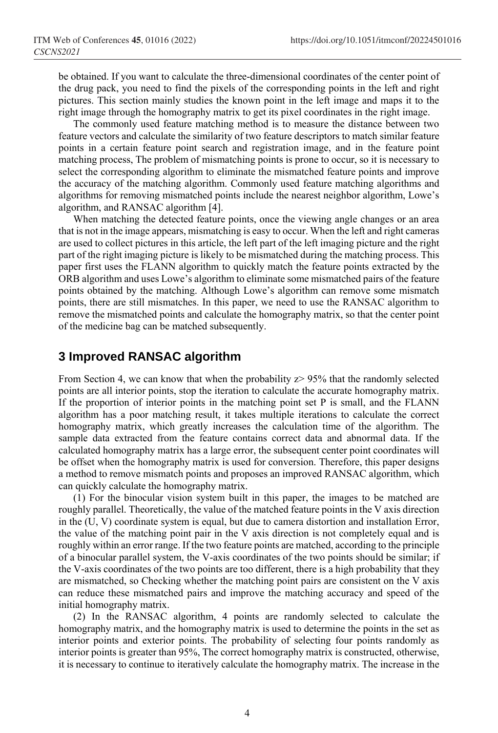be obtained. If you want to calculate the three-dimensional coordinates of the center point of the drug pack, you need to find the pixels of the corresponding points in the left and right pictures. This section mainly studies the known point in the left image and maps it to the right image through the homography matrix to get its pixel coordinates in the right image.

The commonly used feature matching method is to measure the distance between two feature vectors and calculate the similarity of two feature descriptors to match similar feature points in a certain feature point search and registration image, and in the feature point matching process, The problem of mismatching points is prone to occur, so it is necessary to select the corresponding algorithm to eliminate the mismatched feature points and improve the accuracy of the matching algorithm. Commonly used feature matching algorithms and algorithms for removing mismatched points include the nearest neighbor algorithm, Lowe's algorithm, and RANSAC algorithm [4].

When matching the detected feature points, once the viewing angle changes or an area that is not in the image appears, mismatching is easy to occur. When the left and right cameras are used to collect pictures in this article, the left part of the left imaging picture and the right part of the right imaging picture is likely to be mismatched during the matching process. This paper first uses the FLANN algorithm to quickly match the feature points extracted by the ORB algorithm and uses Lowe's algorithm to eliminate some mismatched pairs of the feature points obtained by the matching. Although Lowe's algorithm can remove some mismatch points, there are still mismatches. In this paper, we need to use the RANSAC algorithm to remove the mismatched points and calculate the homography matrix, so that the center point of the medicine bag can be matched subsequently.

## **3 Improved RANSAC algorithm**

From Section 4, we can know that when the probability  $z$  > 95% that the randomly selected points are all interior points, stop the iteration to calculate the accurate homography matrix. If the proportion of interior points in the matching point set P is small, and the FLANN algorithm has a poor matching result, it takes multiple iterations to calculate the correct homography matrix, which greatly increases the calculation time of the algorithm. The sample data extracted from the feature contains correct data and abnormal data. If the calculated homography matrix has a large error, the subsequent center point coordinates will be offset when the homography matrix is used for conversion. Therefore, this paper designs a method to remove mismatch points and proposes an improved RANSAC algorithm, which can quickly calculate the homography matrix.

(1) For the binocular vision system built in this paper, the images to be matched are roughly parallel. Theoretically, the value of the matched feature points in the V axis direction in the (U, V) coordinate system is equal, but due to camera distortion and installation Error, the value of the matching point pair in the V axis direction is not completely equal and is roughly within an error range. If the two feature points are matched, according to the principle of a binocular parallel system, the V-axis coordinates of the two points should be similar; if the V-axis coordinates of the two points are too different, there is a high probability that they are mismatched, so Checking whether the matching point pairs are consistent on the V axis can reduce these mismatched pairs and improve the matching accuracy and speed of the initial homography matrix.

(2) In the RANSAC algorithm, 4 points are randomly selected to calculate the homography matrix, and the homography matrix is used to determine the points in the set as interior points and exterior points. The probability of selecting four points randomly as interior points is greater than 95%, The correct homography matrix is constructed, otherwise, it is necessary to continue to iteratively calculate the homography matrix. The increase in the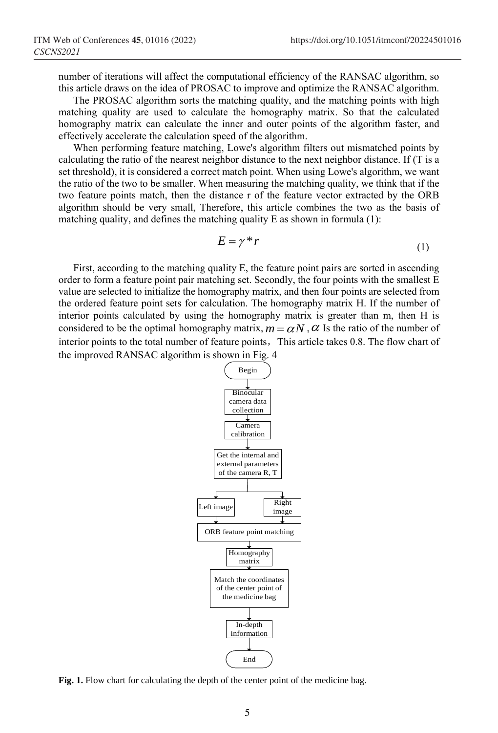number of iterations will affect the computational efficiency of the RANSAC algorithm, so this article draws on the idea of PROSAC to improve and optimize the RANSAC algorithm.

The PROSAC algorithm sorts the matching quality, and the matching points with high matching quality are used to calculate the homography matrix. So that the calculated homography matrix can calculate the inner and outer points of the algorithm faster, and effectively accelerate the calculation speed of the algorithm.

When performing feature matching, Lowe's algorithm filters out mismatched points by calculating the ratio of the nearest neighbor distance to the next neighbor distance. If (T is a set threshold), it is considered a correct match point. When using Lowe's algorithm, we want the ratio of the two to be smaller. When measuring the matching quality, we think that if the two feature points match, then the distance r of the feature vector extracted by the ORB algorithm should be very small, Therefore, this article combines the two as the basis of matching quality, and defines the matching quality E as shown in formula (1):

$$
E = \gamma^* r \tag{1}
$$

First, according to the matching quality E, the feature point pairs are sorted in ascending order to form a feature point pair matching set. Secondly, the four points with the smallest E value are selected to initialize the homography matrix, and then four points are selected from the ordered feature point sets for calculation. The homography matrix H. If the number of interior points calculated by using the homography matrix is greater than m, then H is considered to be the optimal homography matrix,  $m = \alpha N$ ,  $\alpha$  Is the ratio of the number of interior points to the total number of feature points, This article takes 0.8. The flow chart of the improved RANSAC algorithm is shown in Fig. 4



Fig. 1. Flow chart for calculating the depth of the center point of the medicine bag.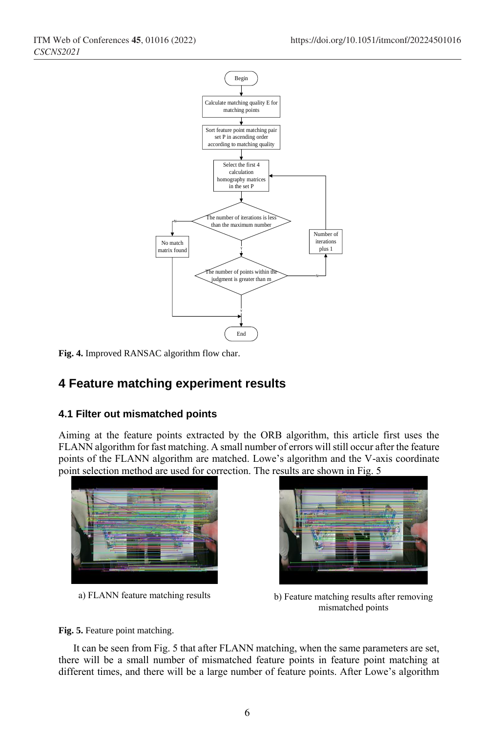

**Fig. 4.** Improved RANSAC algorithm flow char.

# **4 Feature matching experiment results**

### **4.1 Filter out mismatched points**

Aiming at the feature points extracted by the ORB algorithm, this article first uses the FLANN algorithm for fast matching. A small number of errors will still occur after the feature points of the FLANN algorithm are matched. Lowe's algorithm and the V-axis coordinate point selection method are used for correction. The results are shown in Fig. 5





a) FLANN feature matching results b) Feature matching results after removing mismatched points

**Fig. 5.** Feature point matching.

It can be seen from Fig. 5 that after FLANN matching, when the same parameters are set, there will be a small number of mismatched feature points in feature point matching at different times, and there will be a large number of feature points. After Lowe's algorithm